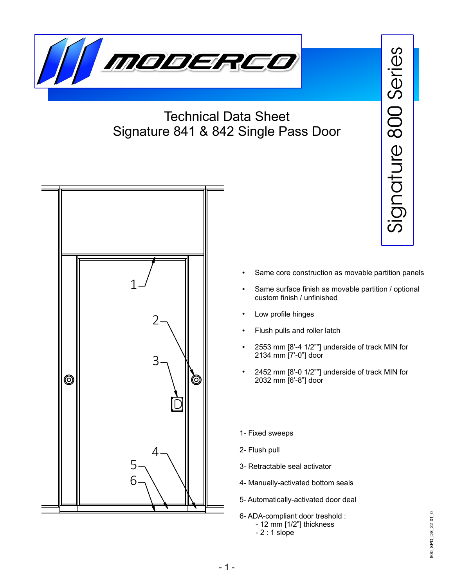

## Technical Data Sheet Signature 841 & 842 Single Pass Door



- Same core construction as movable partition panels
- Same surface finish as movable partition / optional custom finish / unfinished
- Low profile hinges
- Flush pulls and roller latch
- 2553 mm  $[8'-4 \ 1/2"']$  underside of track MIN for 2134 mm [7'-0"] door
- 2452 mm [8'-0 1/2""] underside of track MIN for 2032 mm [6'-8"] door
- 1- Fixed sweeps
- 2- Flush pull
- 3- Retractable seal activator
- 4- Manually-activated bottom seals
- 5- Automatically-activated door deal
- 6- ADA-compliant door treshold : - 12 mm [1/2"] thickness - 2 : 1 slope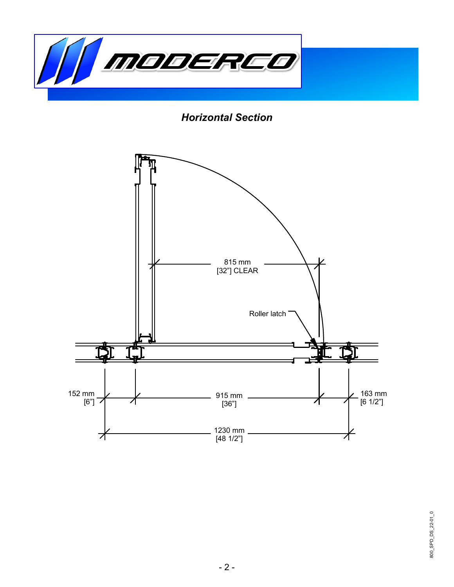

*Horizontal Section*